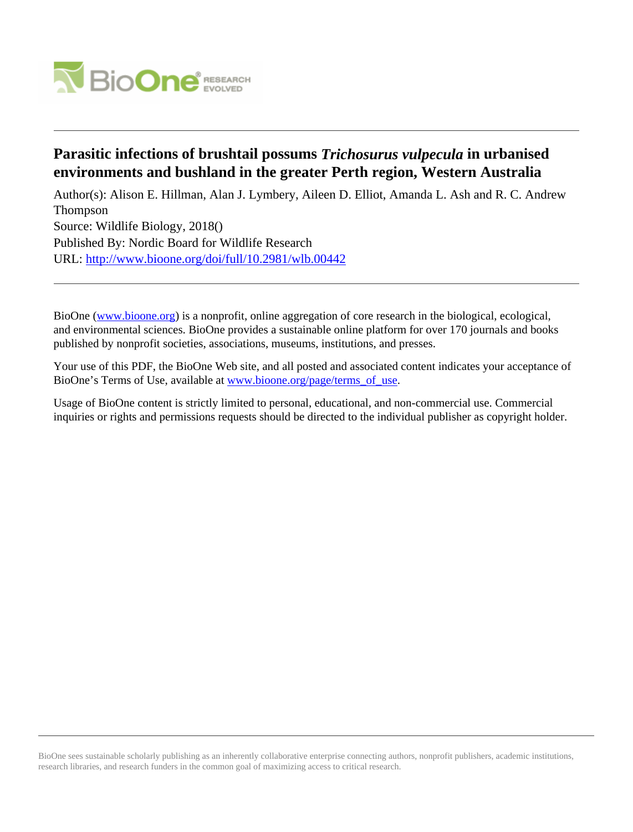

# **Parasitic infections of brushtail possums** *Trichosurus vulpecula* **in urbanised environments and bushland in the greater Perth region, Western Australia**

Author(s): Alison E. Hillman, Alan J. Lymbery, Aileen D. Elliot, Amanda L. Ash and R. C. Andrew Thompson Source: Wildlife Biology, 2018() Published By: Nordic Board for Wildlife Research URL: <http://www.bioone.org/doi/full/10.2981/wlb.00442>

BioOne [\(www.bioone.org\)](http://www.bioone.org) is a nonprofit, online aggregation of core research in the biological, ecological, and environmental sciences. BioOne provides a sustainable online platform for over 170 journals and books published by nonprofit societies, associations, museums, institutions, and presses.

Your use of this PDF, the BioOne Web site, and all posted and associated content indicates your acceptance of BioOne's Terms of Use, available at [www.bioone.org/page/terms\\_of\\_use.](http://www.bioone.org/page/terms_of_use)

Usage of BioOne content is strictly limited to personal, educational, and non-commercial use. Commercial inquiries or rights and permissions requests should be directed to the individual publisher as copyright holder.

BioOne sees sustainable scholarly publishing as an inherently collaborative enterprise connecting authors, nonprofit publishers, academic institutions, research libraries, and research funders in the common goal of maximizing access to critical research.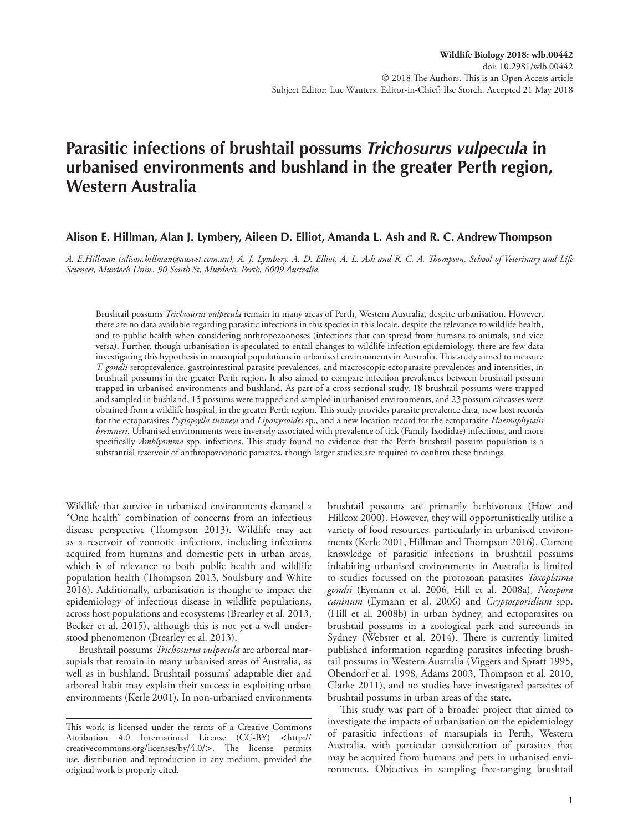# **Parasitic infections of brushtail possums** *Trichosurus vulpecula* **in urbanised environments and bushland in the greater Perth region, Western Australia**

## **Alison E. Hillman, Alan J. Lymbery, Aileen D. Elliot, Amanda L. Ash and R. C. Andrew Thompson**

*A. E.Hillman (alison.hillman@ausvet.com.au), A. J. Lymbery, A. D. Elliot, A. L. Ash and R. C. A. Thompson, School of Veterinary and Life Sciences, Murdoch Univ., 90 South St, Murdoch, Perth, 6009 Australia.*

Brushtail possums *Trichosurus vulpecula* remain in many areas of Perth, Western Australia, despite urbanisation. However, there are no data available regarding parasitic infections in this species in this locale, despite the relevance to wildlife health, and to public health when considering anthropozoonoses (infections that can spread from humans to animals, and vice versa). Further, though urbanisation is speculated to entail changes to wildlife infection epidemiology, there are few data investigating this hypothesis in marsupial populations in urbanised environments in Australia. This study aimed to measure *T. gondii* seroprevalence, gastrointestinal parasite prevalences, and macroscopic ectoparasite prevalences and intensities, in brushtail possums in the greater Perth region. It also aimed to compare infection prevalences between brushtail possum trapped in urbanised environments and bushland. As part of a cross-sectional study, 18 brushtail possums were trapped and sampled in bushland, 15 possums were trapped and sampled in urbanised environments, and 23 possum carcasses were obtained from a wildlife hospital, in the greater Perth region. This study provides parasite prevalence data, new host records for the ectoparasites *Pygiopsylla tunneyi* and *Liponyssoides* sp., and a new location record for the ectoparasite *Haemaphysalis bremneri*. Urbanised environments were inversely associated with prevalence of tick (Family Ixodidae) infections, and more specifically *Amblyomma* spp. infections. This study found no evidence that the Perth brushtail possum population is a substantial reservoir of anthropozoonotic parasites, though larger studies are required to confirm these findings.

Wildlife that survive in urbanised environments demand a "One health" combination of concerns from an infectious disease perspective (Thompson 2013). Wildlife may act as a reservoir of zoonotic infections, including infections acquired from humans and domestic pets in urban areas, which is of relevance to both public health and wildlife population health (Thompson 2013, Soulsbury and White 2016). Additionally, urbanisation is thought to impact the epidemiology of infectious disease in wildlife populations, across host populations and ecosystems (Brearley et al. 2013, Becker et al. 2015), although this is not yet a well understood phenomenon (Brearley et al. 2013).

Brushtail possums *Trichosurus vulpecula* are arboreal marsupials that remain in many urbanised areas of Australia, as well as in bushland. Brushtail possums' adaptable diet and arboreal habit may explain their success in exploiting urban environments (Kerle 2001). In non-urbanised environments brushtail possums are primarily herbivorous (How and Hillcox 2000). However, they will opportunistically utilise a variety of food resources, particularly in urbanised environments (Kerle 2001, Hillman and Thompson 2016). Current knowledge of parasitic infections in brushtail possums inhabiting urbanised environments in Australia is limited to studies focussed on the protozoan parasites *Toxoplasma gondii* (Eymann et al. 2006, Hill et al. 2008a), *Neospora caninum* (Eymann et al. 2006) and *Cryptosporidium* spp. (Hill et al. 2008b) in urban Sydney, and ectoparasites on brushtail possums in a zoological park and surrounds in Sydney (Webster et al. 2014). There is currently limited published information regarding parasites infecting brushtail possums in Western Australia (Viggers and Spratt 1995, Obendorf et al. 1998, Adams 2003, Thompson et al. 2010, Clarke 2011), and no studies have investigated parasites of brushtail possums in urban areas of the state.

This study was part of a broader project that aimed to investigate the impacts of urbanisation on the epidemiology of parasitic infections of marsupials in Perth, Western Australia, with particular consideration of parasites that may be acquired from humans and pets in urbanised environments. Objectives in sampling free-ranging brushtail

This work is licensed under the terms of a Creative Commons Attribution 4.0 International License (CC-BY) <http:// creativecommons.org/licenses/by/4.0/>. The license permits use, distribution and reproduction in any medium, provided the original work is properly cited.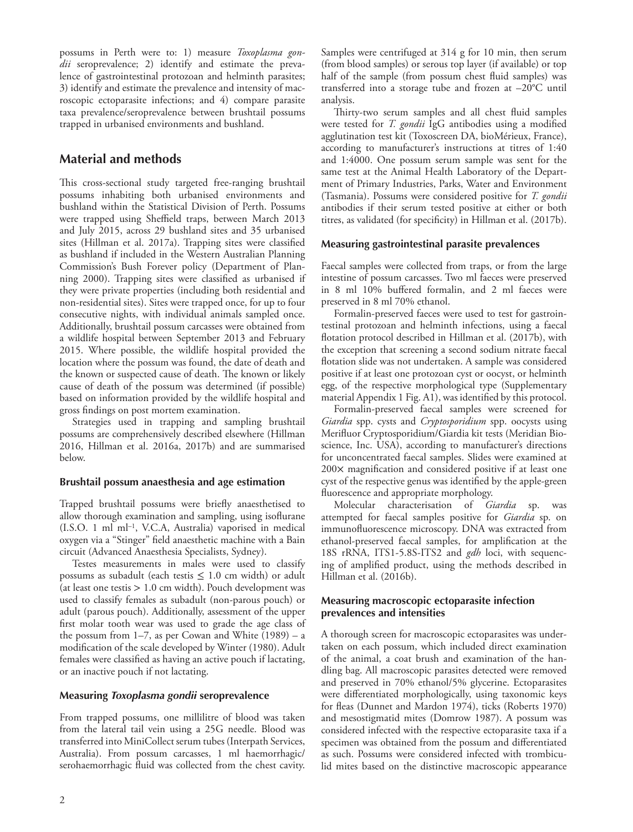possums in Perth were to: 1) measure *Toxoplasma gondii* seroprevalence; 2) identify and estimate the prevalence of gastrointestinal protozoan and helminth parasites; 3) identify and estimate the prevalence and intensity of macroscopic ectoparasite infections; and 4) compare parasite taxa prevalence/seroprevalence between brushtail possums trapped in urbanised environments and bushland.

# **Material and methods**

This cross-sectional study targeted free-ranging brushtail possums inhabiting both urbanised environments and bushland within the Statistical Division of Perth. Possums were trapped using Sheffield traps, between March 2013 and July 2015, across 29 bushland sites and 35 urbanised sites (Hillman et al. 2017a). Trapping sites were classified as bushland if included in the Western Australian Planning Commission's Bush Forever policy (Department of Planning 2000). Trapping sites were classified as urbanised if they were private properties (including both residential and non-residential sites). Sites were trapped once, for up to four consecutive nights, with individual animals sampled once. Additionally, brushtail possum carcasses were obtained from a wildlife hospital between September 2013 and February 2015. Where possible, the wildlife hospital provided the location where the possum was found, the date of death and the known or suspected cause of death. The known or likely cause of death of the possum was determined (if possible) based on information provided by the wildlife hospital and gross findings on post mortem examination.

Strategies used in trapping and sampling brushtail possums are comprehensively described elsewhere (Hillman 2016, Hillman et al. 2016a, 2017b) and are summarised below.

### **Brushtail possum anaesthesia and age estimation**

Trapped brushtail possums were briefly anaesthetised to allow thorough examination and sampling, using isoflurane (I.S.O. 1 ml ml–1, V.C.A, Australia) vaporised in medical oxygen via a "Stinger" field anaesthetic machine with a Bain circuit (Advanced Anaesthesia Specialists, Sydney).

Testes measurements in males were used to classify possums as subadult (each testis  $\leq 1.0$  cm width) or adult (at least one testis  $> 1.0$  cm width). Pouch development was used to classify females as subadult (non-parous pouch) or adult (parous pouch). Additionally, assessment of the upper first molar tooth wear was used to grade the age class of the possum from  $1-7$ , as per Cowan and White  $(1989) - a$ modification of the scale developed by Winter (1980). Adult females were classified as having an active pouch if lactating, or an inactive pouch if not lactating.

#### **Measuring** *Toxoplasma gondii* **seroprevalence**

From trapped possums, one millilitre of blood was taken from the lateral tail vein using a 25G needle. Blood was transferred into MiniCollect serum tubes (Interpath Services, Australia). From possum carcasses, 1 ml haemorrhagic/ serohaemorrhagic fluid was collected from the chest cavity. Samples were centrifuged at 314 g for 10 min, then serum (from blood samples) or serous top layer (if available) or top half of the sample (from possum chest fluid samples) was transferred into a storage tube and frozen at –20°C until analysis.

Thirty-two serum samples and all chest fluid samples were tested for *T. gondii* IgG antibodies using a modified agglutination test kit (Toxoscreen DA, bioMérieux, France), according to manufacturer's instructions at titres of 1:40 and 1:4000. One possum serum sample was sent for the same test at the Animal Health Laboratory of the Department of Primary Industries, Parks, Water and Environment (Tasmania). Possums were considered positive for *T. gondii* antibodies if their serum tested positive at either or both titres, as validated (for specificity) in Hillman et al. (2017b).

#### **Measuring gastrointestinal parasite prevalences**

Faecal samples were collected from traps, or from the large intestine of possum carcasses. Two ml faeces were preserved in 8 ml 10% buffered formalin, and 2 ml faeces were preserved in 8 ml 70% ethanol.

Formalin-preserved faeces were used to test for gastrointestinal protozoan and helminth infections, using a faecal flotation protocol described in Hillman et al. (2017b), with the exception that screening a second sodium nitrate faecal flotation slide was not undertaken. A sample was considered positive if at least one protozoan cyst or oocyst, or helminth egg, of the respective morphological type (Supplementary material Appendix 1 Fig. A1), was identified by this protocol.

Formalin-preserved faecal samples were screened for *Giardia* spp. cysts and *Cryptosporidium* spp. oocysts using Merifluor Cryptosporidium/Giardia kit tests (Meridian Bioscience, Inc. USA), according to manufacturer's directions for unconcentrated faecal samples. Slides were examined at 200× magnification and considered positive if at least one cyst of the respective genus was identified by the apple-green fluorescence and appropriate morphology.

Molecular characterisation of *Giardia* sp. was attempted for faecal samples positive for *Giardia* sp. on immunofluorescence microscopy. DNA was extracted from ethanol-preserved faecal samples, for amplification at the 18S rRNA, ITS1-5.8S-ITS2 and *gdh* loci, with sequencing of amplified product, using the methods described in Hillman et al. (2016b).

### **Measuring macroscopic ectoparasite infection prevalences and intensities**

A thorough screen for macroscopic ectoparasites was undertaken on each possum, which included direct examination of the animal, a coat brush and examination of the handling bag. All macroscopic parasites detected were removed and preserved in 70% ethanol/5% glycerine. Ectoparasites were differentiated morphologically, using taxonomic keys for fleas (Dunnet and Mardon 1974), ticks (Roberts 1970) and mesostigmatid mites (Domrow 1987). A possum was considered infected with the respective ectoparasite taxa if a specimen was obtained from the possum and differentiated as such. Possums were considered infected with trombiculid mites based on the distinctive macroscopic appearance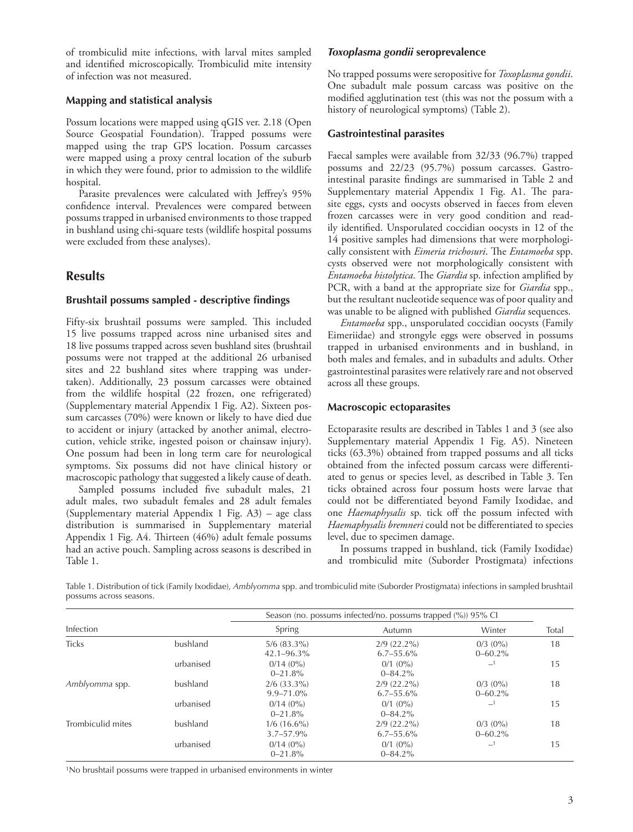of trombiculid mite infections, with larval mites sampled and identified microscopically. Trombiculid mite intensity of infection was not measured.

## **Mapping and statistical analysis**

Possum locations were mapped using qGIS ver. 2.18 (Open Source Geospatial Foundation). Trapped possums were mapped using the trap GPS location. Possum carcasses were mapped using a proxy central location of the suburb in which they were found, prior to admission to the wildlife hospital.

Parasite prevalences were calculated with Jeffrey's 95% confidence interval. Prevalences were compared between possums trapped in urbanised environments to those trapped in bushland using chi-square tests (wildlife hospital possums were excluded from these analyses).

# **Results**

## **Brushtail possums sampled - descriptive findings**

Fifty-six brushtail possums were sampled. This included 15 live possums trapped across nine urbanised sites and 18 live possums trapped across seven bushland sites (brushtail possums were not trapped at the additional 26 urbanised sites and 22 bushland sites where trapping was undertaken). Additionally, 23 possum carcasses were obtained from the wildlife hospital (22 frozen, one refrigerated) (Supplementary material Appendix 1 Fig. A2). Sixteen possum carcasses (70%) were known or likely to have died due to accident or injury (attacked by another animal, electrocution, vehicle strike, ingested poison or chainsaw injury). One possum had been in long term care for neurological symptoms. Six possums did not have clinical history or macroscopic pathology that suggested a likely cause of death.

Sampled possums included five subadult males, 21 adult males, two subadult females and 28 adult females (Supplementary material Appendix 1 Fig. A3) – age class distribution is summarised in Supplementary material Appendix 1 Fig. A4. Thirteen (46%) adult female possums had an active pouch. Sampling across seasons is described in Table 1.

## *Toxoplasma gondii* **seroprevalence**

No trapped possums were seropositive for *Toxoplasma gondii*. One subadult male possum carcass was positive on the modified agglutination test (this was not the possum with a history of neurological symptoms) (Table 2).

## **Gastrointestinal parasites**

Faecal samples were available from 32/33 (96.7%) trapped possums and 22/23 (95.7%) possum carcasses. Gastrointestinal parasite findings are summarised in Table 2 and Supplementary material Appendix 1 Fig. A1. The parasite eggs, cysts and oocysts observed in faeces from eleven frozen carcasses were in very good condition and readily identified. Unsporulated coccidian oocysts in 12 of the 14 positive samples had dimensions that were morphologically consistent with *Eimeria trichosuri*. The *Entamoeba* spp. cysts observed were not morphologically consistent with *Entamoeba histolytica*. The *Giardia* sp. infection amplified by PCR, with a band at the appropriate size for *Giardia* spp., but the resultant nucleotide sequence was of poor quality and was unable to be aligned with published *Giardia* sequences.

*Entamoeba* spp., unsporulated coccidian oocysts (Family Eimeriidae) and strongyle eggs were observed in possums trapped in urbanised environments and in bushland, in both males and females, and in subadults and adults. Other gastrointestinal parasites were relatively rare and not observed across all these groups.

## **Macroscopic ectoparasites**

Ectoparasite results are described in Tables 1 and 3 (see also Supplementary material Appendix 1 Fig. A5). Nineteen ticks (63.3%) obtained from trapped possums and all ticks obtained from the infected possum carcass were differentiated to genus or species level, as described in Table 3. Ten ticks obtained across four possum hosts were larvae that could not be differentiated beyond Family Ixodidae, and one *Haemaphysalis* sp. tick off the possum infected with *Haemaphysalis bremneri* could not be differentiated to species level, due to specimen damage.

In possums trapped in bushland, tick (Family Ixodidae) and trombiculid mite (Suborder Prostigmata) infections

Table 1. Distribution of tick (Family Ixodidae), *Amblyomma* spp. and trombiculid mite (Suborder Prostigmata) infections in sampled brushtail possums across seasons.

|                   |           | Season (no. possums infected/no. possums trapped (%)) 95% CI |                                    |                                 |       |  |
|-------------------|-----------|--------------------------------------------------------------|------------------------------------|---------------------------------|-------|--|
| Infection         |           | Spring                                                       | Autumn                             | Winter                          | Total |  |
| <b>Ticks</b>      | bushland  | $5/6$ $(83.3\%)$<br>$42.1 - 96.3\%$                          | $2/9$ $(22.2\%)$<br>$6.7 - 55.6\%$ | $0/3$ ( $0\%$ )<br>$0 - 60.2\%$ | 18    |  |
|                   | urbanised | $0/14(0\%)$<br>$0 - 21.8%$                                   | $0/1$ (0%)<br>$0 - 84.2\%$         | $-1$                            | 15    |  |
| Amblyomma spp.    | bushland  | $2/6$ (33.3%)<br>$9.9 - 71.0\%$                              | $2/9$ $(22.2\%)$<br>$6.7 - 55.6\%$ | $0/3$ ( $0\%$ )<br>$0 - 60.2\%$ | 18    |  |
|                   | urbanised | $0/14(0\%)$<br>$0 - 21.8%$                                   | $0/1$ (0%)<br>$0 - 84.2\%$         | $-1$                            | 15    |  |
| Trombiculid mites | bushland  | $1/6$ (16.6%)<br>$3.7 - 57.9\%$                              | $2/9$ $(22.2\%)$<br>$6.7 - 55.6\%$ | $0/3$ $(0\%)$<br>$0 - 60.2\%$   | 18    |  |
|                   | urbanised | $0/14(0\%)$<br>$0 - 21.8%$                                   | $0/1$ $(0\%)$<br>$0 - 84.2\%$      | $-1$                            | 15    |  |

1No brushtail possums were trapped in urbanised environments in winter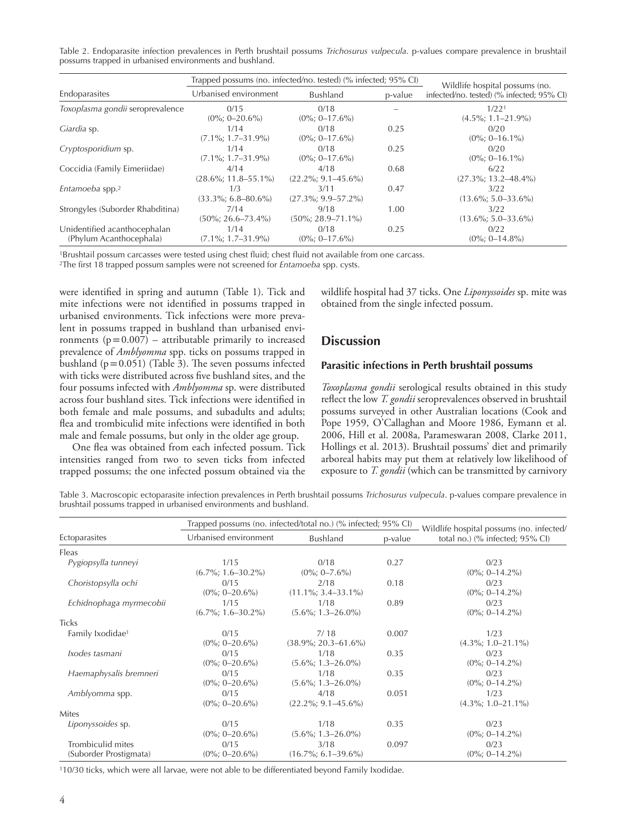| Table 2. Endoparasite infection prevalences in Perth brushtail possums Trichosurus vulpecula. p-values compare prevalence in brushtail |  |  |  |  |  |  |
|----------------------------------------------------------------------------------------------------------------------------------------|--|--|--|--|--|--|
| possums trapped in urbanised environments and bushland.                                                                                |  |  |  |  |  |  |

|                                                         | Trapped possums (no. infected/no. tested) (% infected; 95% CI) |                                  | Wildlife hospital possums (no. |                                           |  |
|---------------------------------------------------------|----------------------------------------------------------------|----------------------------------|--------------------------------|-------------------------------------------|--|
| Endoparasites                                           | Urbanised environment                                          | Bushland                         | p-value                        | infected/no. tested) (% infected; 95% CI) |  |
| Toxoplasma gondii seroprevalence                        | 0/15<br>$(0\%; 0-20.6\%)$                                      | 0/18<br>$(0\%; 0-17.6\%)$        |                                | 1/221<br>$(4.5\%; 1.1–21.9\%)$            |  |
| Giardia sp.                                             | 1/14<br>$(7.1\%; 1.7-31.9\%)$                                  | 0/18<br>$(0\%; 0-17.6\%)$        | 0.25                           | 0/20<br>$(0\%; 0-16.1\%)$                 |  |
| Cryptosporidium sp.                                     | 1/14<br>$(7.1\%; 1.7-31.9\%)$                                  | 0/18<br>$(0\%; 0-17.6\%)$        | 0.25                           | 0/20<br>$(0\%; 0-16.1\%)$                 |  |
| Coccidia (Family Eimeriidae)                            | 4/14<br>$(28.6\%; 11.8 - 55.1\%)$                              | 4/18<br>$(22.2\%; 9.1 - 45.6\%)$ | 0.68                           | 6/22<br>$(27.3\%; 13.2 - 48.4\%)$         |  |
| Entamoeba spp. <sup>2</sup>                             | 1/3<br>$(33.3\%; 6.8 - 80.6\%)$                                | 3/11<br>$(27.3\%; 9.9 - 57.2\%)$ | 0.47                           | 3/22<br>$(13.6\%; 5.0 - 33.6\%)$          |  |
| Strongyles (Suborder Rhabditina)                        | 7/14<br>$(50\%; 26.6 - 73.4\%)$                                | 9/18<br>$(50\%; 28.9 - 71.1\%)$  | 1.00                           | 3/22<br>$(13.6\%; 5.0 - 33.6\%)$          |  |
| Unidentified acanthocephalan<br>(Phylum Acanthocephala) | 1/14<br>$(7.1\%; 1.7-31.9\%)$                                  | 0/18<br>$(0\%; 0-17.6\%)$        | 0.25                           | 0/22<br>$(0\%; 0-14.8\%)$                 |  |

1Brushtail possum carcasses were tested using chest fluid; chest fluid not available from one carcass.

2The first 18 trapped possum samples were not screened for *Entamoeba* spp. cysts.

were identified in spring and autumn (Table 1). Tick and mite infections were not identified in possums trapped in urbanised environments. Tick infections were more prevalent in possums trapped in bushland than urbanised environments  $(p=0.007)$  – attributable primarily to increased prevalence of *Amblyomma* spp. ticks on possums trapped in bushland  $(p=0.051)$  (Table 3). The seven possums infected with ticks were distributed across five bushland sites, and the four possums infected with *Amblyomma* sp. were distributed across four bushland sites. Tick infections were identified in both female and male possums, and subadults and adults; flea and trombiculid mite infections were identified in both male and female possums, but only in the older age group.

One flea was obtained from each infected possum. Tick intensities ranged from two to seven ticks from infected trapped possums; the one infected possum obtained via the wildlife hospital had 37 ticks. One *Liponyssoides* sp. mite was obtained from the single infected possum.

# **Discussion**

#### **Parasitic infections in Perth brushtail possums**

*Toxoplasma gondii* serological results obtained in this study reflect the low *T. gondii* seroprevalences observed in brushtail possums surveyed in other Australian locations (Cook and Pope 1959, O'Callaghan and Moore 1986, Eymann et al. 2006, Hill et al. 2008a, Parameswaran 2008, Clarke 2011, Hollings et al. 2013). Brushtail possums' diet and primarily arboreal habits may put them at relatively low likelihood of exposure to *T. gondii* (which can be transmitted by carnivory

Table 3. Macroscopic ectoparasite infection prevalences in Perth brushtail possums *Trichosurus vulpecula*. p-values compare prevalence in brushtail possums trapped in urbanised environments and bushland.

|                                             |                                 | Trapped possums (no. infected/total no.) (% infected; 95% CI) | Wildlife hospital possums (no. infected/ |                                 |  |  |
|---------------------------------------------|---------------------------------|---------------------------------------------------------------|------------------------------------------|---------------------------------|--|--|
| Ectoparasites                               | Urbanised environment           | <b>Bushland</b>                                               | p-value                                  | total no.) (% infected; 95% CI) |  |  |
| Fleas                                       |                                 |                                                               |                                          |                                 |  |  |
| Pygiopsylla tunneyi                         | 1/15<br>$(6.7\%; 1.6 - 30.2\%)$ | 0/18<br>$(0\%; 0-7.6\%)$                                      | 0.27                                     | 0/23<br>$(0\%; 0-14.2\%)$       |  |  |
| Choristopsylla ochi                         | 0/15<br>$(0\%; 0-20.6\%)$       | 2/18<br>$(11.1\%; 3.4–33.1\%)$                                | 0.18                                     | 0/23<br>$(0\%; 0-14.2\%)$       |  |  |
| Echidnophaga myrmecobii                     | 1/15<br>$(6.7\%; 1.6 - 30.2\%)$ | 1/18<br>$(5.6\%; 1.3 - 26.0\%)$                               | 0.89                                     | 0/23<br>$(0\%; 0-14.2\%)$       |  |  |
| <b>Ticks</b>                                |                                 |                                                               |                                          |                                 |  |  |
| Family Ixodidae <sup>1</sup>                | 0/15<br>$(0\%; 0-20.6\%)$       | 7/18<br>$(38.9\%; 20.3 - 61.6\%)$                             | 0.007                                    | 1/23<br>$(4.3\%; 1.0 - 21.1\%)$ |  |  |
| Ixodes tasmani                              | 0/15<br>$(0\%; 0-20.6\%)$       | 1/18<br>$(5.6\%; 1.3 - 26.0\%)$                               | 0.35                                     | 0/23<br>$(0\%; 0-14.2\%)$       |  |  |
| Haemaphysalis bremneri                      | 0/15<br>$(0\%; 0-20.6\%)$       | 1/18<br>$(5.6\%; 1.3-26.0\%)$                                 | 0.35                                     | 0/23<br>$(0\%; 0-14.2\%)$       |  |  |
| Amblyomma spp.                              | 0/15<br>$(0\%; 0-20.6\%)$       | 4/18<br>$(22.2\%; 9.1 - 45.6\%)$                              | 0.051                                    | 1/23<br>$(4.3\%; 1.0 - 21.1\%)$ |  |  |
| <b>Mites</b>                                |                                 |                                                               |                                          |                                 |  |  |
| Liponyssoides sp.                           | 0/15<br>$(0\%; 0-20.6\%)$       | 1/18<br>$(5.6\%; 1.3 - 26.0\%)$                               | 0.35                                     | 0/23<br>$(0\%; 0-14.2\%)$       |  |  |
| Trombiculid mites<br>(Suborder Prostigmata) | 0/15<br>$(0\%; 0-20.6\%)$       | 3/18<br>$(16.7\%; 6.1–39.6\%)$                                | 0.097                                    | 0/23<br>$(0\%; 0-14.2\%)$       |  |  |

110/30 ticks, which were all larvae, were not able to be differentiated beyond Family Ixodidae.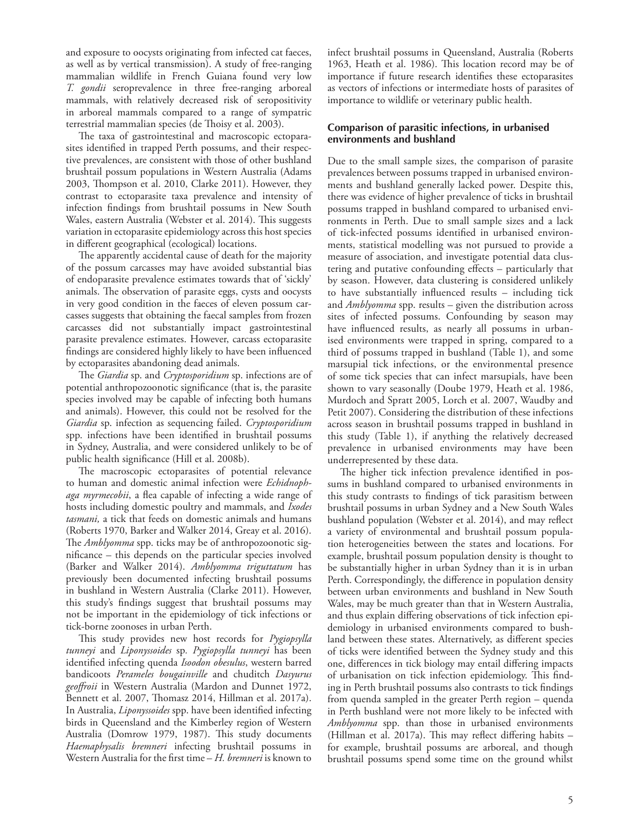and exposure to oocysts originating from infected cat faeces, as well as by vertical transmission). A study of free-ranging mammalian wildlife in French Guiana found very low *T. gondii* seroprevalence in three free-ranging arboreal mammals, with relatively decreased risk of seropositivity in arboreal mammals compared to a range of sympatric terrestrial mammalian species (de Thoisy et al. 2003).

The taxa of gastrointestinal and macroscopic ectoparasites identified in trapped Perth possums, and their respective prevalences, are consistent with those of other bushland brushtail possum populations in Western Australia (Adams 2003, Thompson et al. 2010, Clarke 2011). However, they contrast to ectoparasite taxa prevalence and intensity of infection findings from brushtail possums in New South Wales, eastern Australia (Webster et al. 2014). This suggests variation in ectoparasite epidemiology across this host species in different geographical (ecological) locations.

The apparently accidental cause of death for the majority of the possum carcasses may have avoided substantial bias of endoparasite prevalence estimates towards that of 'sickly' animals. The observation of parasite eggs, cysts and oocysts in very good condition in the faeces of eleven possum carcasses suggests that obtaining the faecal samples from frozen carcasses did not substantially impact gastrointestinal parasite prevalence estimates. However, carcass ectoparasite findings are considered highly likely to have been influenced by ectoparasites abandoning dead animals.

The *Giardia* sp. and *Cryptosporidium* sp. infections are of potential anthropozoonotic significance (that is, the parasite species involved may be capable of infecting both humans and animals). However, this could not be resolved for the *Giardia* sp. infection as sequencing failed. *Cryptosporidium* spp. infections have been identified in brushtail possums in Sydney, Australia, and were considered unlikely to be of public health significance (Hill et al. 2008b).

The macroscopic ectoparasites of potential relevance to human and domestic animal infection were *Echidnophaga myrmecobii*, a flea capable of infecting a wide range of hosts including domestic poultry and mammals, and *Ixodes tasmani,* a tick that feeds on domestic animals and humans (Roberts 1970, Barker and Walker 2014, Greay et al. 2016). The *Amblyomma* spp. ticks may be of anthropozoonotic significance – this depends on the particular species involved (Barker and Walker 2014). *Amblyomma triguttatum* has previously been documented infecting brushtail possums in bushland in Western Australia (Clarke 2011). However, this study's findings suggest that brushtail possums may not be important in the epidemiology of tick infections or tick-borne zoonoses in urban Perth.

This study provides new host records for *Pygiopsylla tunneyi* and *Liponyssoides* sp*. Pygiopsylla tunneyi* has been identified infecting quenda *Isoodon obesulus*, western barred bandicoots *Perameles bougainville* and chuditch *Dasyurus geoffroii* in Western Australia (Mardon and Dunnet 1972, Bennett et al. 2007, Thomasz 2014, Hillman et al. 2017a). In Australia, *Liponyssoides* spp. have been identified infecting birds in Queensland and the Kimberley region of Western Australia (Domrow 1979, 1987). This study documents *Haemaphysalis bremneri* infecting brushtail possums in Western Australia for the first time – *H. bremneri* is known to infect brushtail possums in Queensland, Australia (Roberts 1963, Heath et al. 1986). This location record may be of importance if future research identifies these ectoparasites as vectors of infections or intermediate hosts of parasites of importance to wildlife or veterinary public health.

## **Comparison of parasitic infections, in urbanised environments and bushland**

Due to the small sample sizes, the comparison of parasite prevalences between possums trapped in urbanised environments and bushland generally lacked power. Despite this, there was evidence of higher prevalence of ticks in brushtail possums trapped in bushland compared to urbanised environments in Perth. Due to small sample sizes and a lack of tick-infected possums identified in urbanised environments, statistical modelling was not pursued to provide a measure of association, and investigate potential data clustering and putative confounding effects – particularly that by season. However, data clustering is considered unlikely to have substantially influenced results – including tick and *Amblyomma* spp. results – given the distribution across sites of infected possums. Confounding by season may have influenced results, as nearly all possums in urbanised environments were trapped in spring, compared to a third of possums trapped in bushland (Table 1), and some marsupial tick infections, or the environmental presence of some tick species that can infect marsupials, have been shown to vary seasonally (Doube 1979, Heath et al. 1986, Murdoch and Spratt 2005, Lorch et al. 2007, Waudby and Petit 2007). Considering the distribution of these infections across season in brushtail possums trapped in bushland in this study (Table 1), if anything the relatively decreased prevalence in urbanised environments may have been underrepresented by these data.

The higher tick infection prevalence identified in possums in bushland compared to urbanised environments in this study contrasts to findings of tick parasitism between brushtail possums in urban Sydney and a New South Wales bushland population (Webster et al. 2014), and may reflect a variety of environmental and brushtail possum population heterogeneities between the states and locations. For example, brushtail possum population density is thought to be substantially higher in urban Sydney than it is in urban Perth. Correspondingly, the difference in population density between urban environments and bushland in New South Wales, may be much greater than that in Western Australia, and thus explain differing observations of tick infection epidemiology in urbanised environments compared to bushland between these states. Alternatively, as different species of ticks were identified between the Sydney study and this one, differences in tick biology may entail differing impacts of urbanisation on tick infection epidemiology. This finding in Perth brushtail possums also contrasts to tick findings from quenda sampled in the greater Perth region – quenda in Perth bushland were not more likely to be infected with *Amblyomma* spp. than those in urbanised environments (Hillman et al. 2017a). This may reflect differing habits – for example, brushtail possums are arboreal, and though brushtail possums spend some time on the ground whilst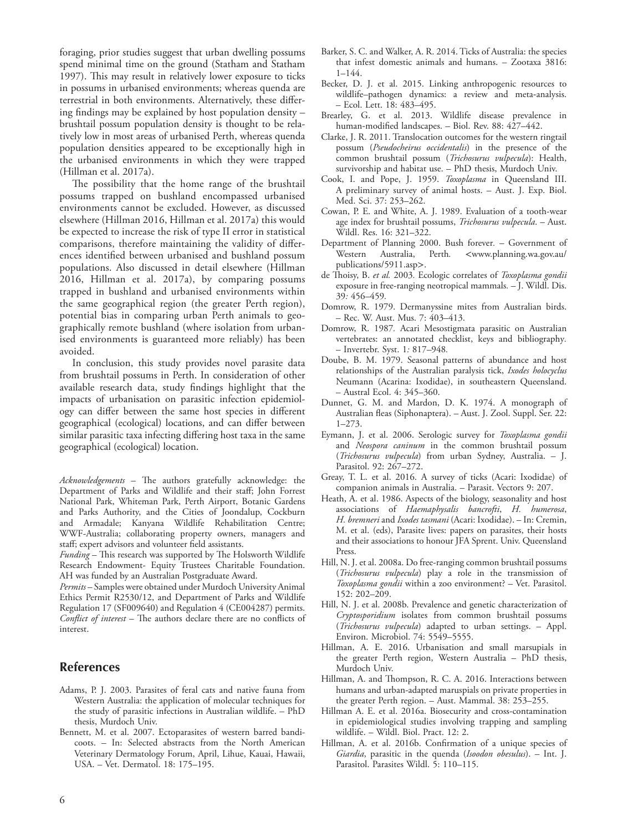foraging, prior studies suggest that urban dwelling possums spend minimal time on the ground (Statham and Statham 1997). This may result in relatively lower exposure to ticks in possums in urbanised environments; whereas quenda are terrestrial in both environments. Alternatively, these differing findings may be explained by host population density – brushtail possum population density is thought to be relatively low in most areas of urbanised Perth, whereas quenda population densities appeared to be exceptionally high in the urbanised environments in which they were trapped (Hillman et al. 2017a).

The possibility that the home range of the brushtail possums trapped on bushland encompassed urbanised environments cannot be excluded. However, as discussed elsewhere (Hillman 2016, Hillman et al. 2017a) this would be expected to increase the risk of type II error in statistical comparisons, therefore maintaining the validity of differences identified between urbanised and bushland possum populations. Also discussed in detail elsewhere (Hillman 2016, Hillman et al. 2017a), by comparing possums trapped in bushland and urbanised environments within the same geographical region (the greater Perth region), potential bias in comparing urban Perth animals to geographically remote bushland (where isolation from urbanised environments is guaranteed more reliably) has been avoided.

In conclusion, this study provides novel parasite data from brushtail possums in Perth. In consideration of other available research data, study findings highlight that the impacts of urbanisation on parasitic infection epidemiology can differ between the same host species in different geographical (ecological) locations, and can differ between similar parasitic taxa infecting differing host taxa in the same geographical (ecological) location.

*Acknowledgements* – The authors gratefully acknowledge: the Department of Parks and Wildlife and their staff; John Forrest National Park, Whiteman Park, Perth Airport, Botanic Gardens and Parks Authority, and the Cities of Joondalup, Cockburn and Armadale; Kanyana Wildlife Rehabilitation Centre; WWF-Australia; collaborating property owners, managers and staff; expert advisors and volunteer field assistants.

*Funding* – This research was supported by The Holsworth Wildlife Research Endowment- Equity Trustees Charitable Foundation. AH was funded by an Australian Postgraduate Award.

*Permits* – Samples were obtained under Murdoch University Animal Ethics Permit R2530/12, and Department of Parks and Wildlife Regulation 17 (SF009640) and Regulation 4 (CE004287) permits. *Conflict of interest* – The authors declare there are no conflicts of interest.

## **References**

- Adams, P. J. 2003. Parasites of feral cats and native fauna from Western Australia: the application of molecular techniques for the study of parasitic infections in Australian wildlife. – PhD thesis, Murdoch Univ.
- Bennett, M. et al. 2007. Ectoparasites of western barred bandicoots. – In: Selected abstracts from the North American Veterinary Dermatology Forum, April, Lihue, Kauai, Hawaii, USA. – Vet. Dermatol. 18: 175–195.
- Barker, S. C. and Walker, A. R. 2014. Ticks of Australia: the species that infest domestic animals and humans. – Zootaxa 3816:  $1 - 144$
- Becker, D. J. et al. 2015. Linking anthropogenic resources to wildlife–pathogen dynamics: a review and meta-analysis. – Ecol. Lett. 18: 483–495.
- Brearley, G. et al. 2013. Wildlife disease prevalence in human-modified landscapes. – Biol. Rev. 88: 427–442.
- Clarke, J. R. 2011. Translocation outcomes for the western ringtail possum (*Pseudocheirus occidentalis*) in the presence of the common brushtail possum (*Trichosurus vulpecula*): Health, survivorship and habitat use. – PhD thesis, Murdoch Univ.
- Cook, I. and Pope, J. 1959. *Toxoplasma* in Queensland III. A preliminary survey of animal hosts. – Aust. J. Exp. Biol. Med. Sci. 37: 253–262.
- Cowan, P. E. and White, A. J. 1989. Evaluation of a tooth-wear age index for brushtail possums, *Trichosurus vulpecula*. – Aust. Wildl. Res. 16: 321–322.
- Department of Planning 2000. Bush forever*.* Government of Western Australia, Perth*.* <www.planning.wa.gov.au/ publications/5911.asp>.
- de Thoisy, B. *et al.* 2003*.* Ecologic correlates of *Toxoplasma gondii* exposure in free-ranging neotropical mammals*.* – J. Wildl. Dis. 39*:* 456*–*459*.*
- Domrow, R. 1979. Dermanyssine mites from Australian birds. – Rec. W. Aust. Mus. 7: 403–413.
- Domrow, R. 1987*.* Acari Mesostigmata parasitic on Australian vertebrates: an annotated checklist, keys and bibliography*.* – Invertebr. Syst. 1*:* 817*–*948*.*
- Doube, B. M. 1979. Seasonal patterns of abundance and host relationships of the Australian paralysis tick, *Ixodes holocyclus* Neumann (Acarina: Ixodidae), in southeastern Queensland. – Austral Ecol. 4: 345–360.
- Dunnet, G. M. and Mardon, D. K. 1974. A monograph of Australian fleas (Siphonaptera). – Aust. J. Zool. Suppl. Ser. 22: 1–273.
- Eymann, J. et al. 2006. Serologic survey for *Toxoplasma gondii* and *Neospora caninum* in the common brushtail possum (*Trichosurus vulpecula*) from urban Sydney, Australia. – J. Parasitol. 92: 267–272.
- Greay, T. L. et al. 2016. A survey of ticks (Acari: Ixodidae) of companion animals in Australia. – Parasit. Vectors 9: 207.
- Heath, A. et al. 1986. Aspects of the biology, seasonality and host associations of *Haemaphysalis bancrofti*, *H. humerosa*, *H. bremneri* and *Ixodes tasmani* (Acari: Ixodidae). – In: Cremin, M. et al. (eds), Parasite lives: papers on parasites, their hosts and their associations to honour JFA Sprent. Univ. Queensland Press.
- Hill, N. J. et al. 2008a. Do free-ranging common brushtail possums (*Trichosurus vulpecula*) play a role in the transmission of *Toxoplasma gondii* within a zoo environment? – Vet. Parasitol. 152: 202–209.
- Hill, N. J. et al. 2008b. Prevalence and genetic characterization of *Cryptosporidium* isolates from common brushtail possums (*Trichosurus vulpecula*) adapted to urban settings. – Appl. Environ. Microbiol. 74: 5549–5555.
- Hillman, A. E. 2016. Urbanisation and small marsupials in the greater Perth region, Western Australia – PhD thesis, Murdoch Univ.
- Hillman, A. and Thompson, R. C. A. 2016. Interactions between humans and urban-adapted maruspials on private properties in the greater Perth region. – Aust. Mammal. 38: 253–255.
- Hillman A. E. et al. 2016a. Biosecurity and cross-contamination in epidemiological studies involving trapping and sampling wildlife. – Wildl. Biol. Pract. 12: 2.
- Hillman, A. et al. 2016b. Confirmation of a unique species of *Giardia*, parasitic in the quenda (*Isoodon obesulus*). – Int. J. Parasitol. Parasites Wildl. 5: 110–115.